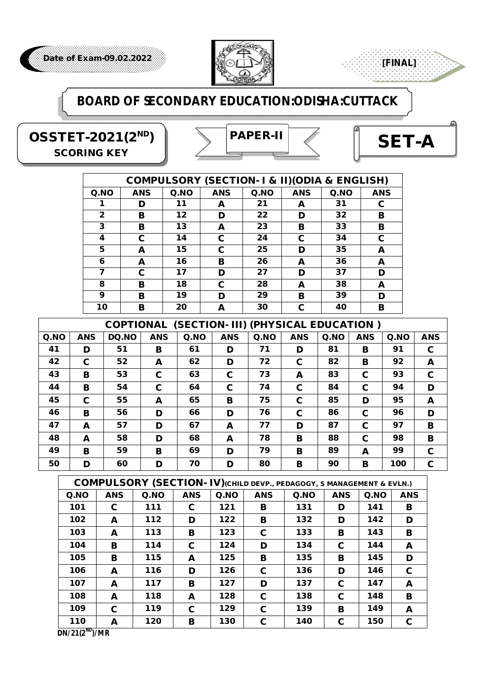

### **BOARD OF SECONDARY EDUCATION:ODISHA:CUTTACK**

**OSSTET-2021(2ND)** *SCORING KEY*



**[FINAL]**

|      | <b>COMPULSORY (SECTION- I &amp; II) (ODIA &amp; ENGLISH)</b> |      |            |      |            |             |            |  |  |  |  |  |
|------|--------------------------------------------------------------|------|------------|------|------------|-------------|------------|--|--|--|--|--|
| Q.NO | <b>ANS</b>                                                   | Q.NO | <b>ANS</b> | Q.NO | <b>ANS</b> | $Q$ .<br>NO | <b>ANS</b> |  |  |  |  |  |
|      | D                                                            | 11   | A          | 21   | A          | 31          | С          |  |  |  |  |  |
| 2    | в                                                            | 12   | D          | 22   | D          | 32          | в          |  |  |  |  |  |
| 3    | в                                                            | 13   | A          | 23   | в          | 33          | в          |  |  |  |  |  |
| 4    | C                                                            | 14   | С          | 24   | С          | 34          | C          |  |  |  |  |  |
| 5    | A                                                            | 15   | С          | 25   | D          | 35          | A          |  |  |  |  |  |
| 6    | A                                                            | 16   | в          | 26   | A          | 36          | A          |  |  |  |  |  |
| 7    | C                                                            | 17   | D          | 27   | D          | 37          | D          |  |  |  |  |  |
| 8    | в                                                            | 18   | C          | 28   | A          | 38          | A          |  |  |  |  |  |
| 9    | в                                                            | 19   | D          | 29   | в          | 39          | D          |  |  |  |  |  |
| 10   | в                                                            | 20   | A          | 30   | C          | 40          | в          |  |  |  |  |  |

| (SECTION- III) (PHYSICAL EDUCATION)<br><b>COPTIONAL</b> |            |              |            |      |            |             |            |          |            |      |            |  |
|---------------------------------------------------------|------------|--------------|------------|------|------------|-------------|------------|----------|------------|------|------------|--|
| Q.NO                                                    | <b>ANS</b> | <b>DQ.NO</b> | <b>ANS</b> | Q.NO | <b>ANS</b> | $Q$ .<br>NO | <b>ANS</b> | $Q$ . NO | <b>ANS</b> | Q.NO | <b>ANS</b> |  |
| 41                                                      | D          | 51           | в          | 61   | D          | 71          | D          | 81       | в          | 91   | C          |  |
| 42                                                      | C          | 52           | A          | 62   | D          | 72          | C          | 82       | в          | 92   | A          |  |
| 43                                                      | в          | 53           | C          | 63   | C          | 73          | A          | 83       | C          | 93   | C          |  |
| 44                                                      | B          | 54           | C          | 64   | C          | 74          | C          | 84       | C          | 94   | D          |  |
| 45                                                      | C          | 55           | A          | 65   | в          | 75          | C          | 85       | D          | 95   | A          |  |
| 46                                                      | в          | 56           | D          | 66   | D          | 76          | C          | 86       | C          | 96   | D          |  |
| 47                                                      | A          | 57           | D          | 67   | A          | 77          | D          | 87       | C          | 97   | B          |  |
| 48                                                      | A          | 58           | D          | 68   | A          | 78          | в          | 88       | C          | 98   | B          |  |
| 49                                                      | в          | 59           | в          | 69   | D          | 79          | в          | 89       | A          | 99   | C          |  |
| 50                                                      | D          | 60           | D          | 70   | D          | 80          | в          | 90       | в          | 100  | C          |  |

|             | <b>COMPULSORY (SECTION- IV)</b> (CHILD DEVP., PEDAGOGY, S MANAGEMENT & EVLN.) |          |            |             |            |     |            |      |            |  |  |  |
|-------------|-------------------------------------------------------------------------------|----------|------------|-------------|------------|-----|------------|------|------------|--|--|--|
| $Q$ .<br>NO | <b>ANS</b>                                                                    | $Q$ . NO | <b>ANS</b> | $Q$ .<br>NO | <b>ANS</b> | QNO | <b>ANS</b> | Q.NO | <b>ANS</b> |  |  |  |
| 101         | C                                                                             | 111      | C          | 121         | в          | 131 | D          | 141  | в          |  |  |  |
| 102         | A                                                                             | 112      | D          | 122         | в          | 132 | D          | 142  | D          |  |  |  |
| 103         | A                                                                             | 113      | в          | 123         | С          | 133 | в          | 143  | в          |  |  |  |
| 104         | в                                                                             | 114      | C          | 124         | D          | 134 | C          | 144  | A          |  |  |  |
| 105         | в                                                                             | 115      | A          | 125         | в          | 135 | в          | 145  | D          |  |  |  |
| 106         | A                                                                             | 116      | D          | 126         | C          | 136 | D          | 146  | C          |  |  |  |
| 107         | A                                                                             | 117      | в          | 127         | D          | 137 | C          | 147  | A          |  |  |  |
| 108         | A                                                                             | 118      | A          | 128         | C          | 138 | C          | 148  | в          |  |  |  |
| 109         | C                                                                             | 119      | C          | 129         | C          | 139 | в          | 149  | A          |  |  |  |
| 110         | A                                                                             | 120      | в          | 130         | C          | 140 | C          | 150  | C          |  |  |  |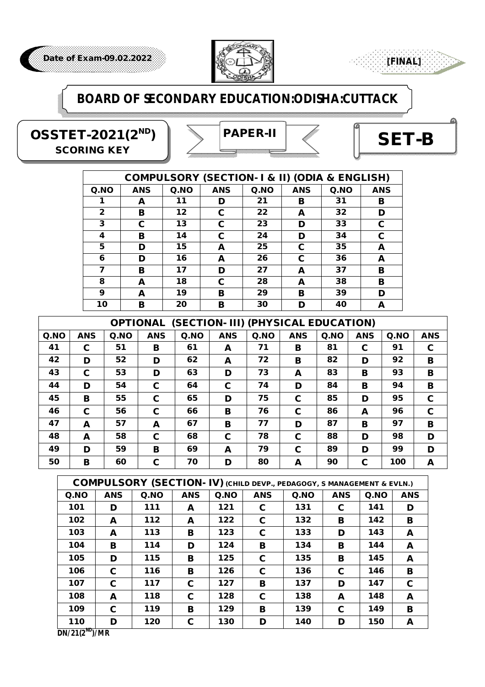

### **BOARD OF SECONDARY EDUCATION:ODISHA:CUTTACK**

**OSSTET-2021(2ND)** *SCORING KEY*

# *PAPER-II*



**[FINAL]**

|              | <b>COMPULSORY (SECTION- I &amp; II) (ODIA &amp; ENGLISH)</b> |         |            |      |            |         |            |  |  |  |  |  |
|--------------|--------------------------------------------------------------|---------|------------|------|------------|---------|------------|--|--|--|--|--|
| $Q$ . NO     | <b>ANS</b>                                                   | $Q$ .NO | <b>ANS</b> | Q.NO | <b>ANS</b> | $Q$ .NO | <b>ANS</b> |  |  |  |  |  |
|              | A                                                            | 11      | D          | 21   | в          | 31      | в          |  |  |  |  |  |
| $\mathbf{2}$ | в                                                            | 12      | С          | 22   | A          | 32      | D          |  |  |  |  |  |
| 3            | С                                                            | 13      | C          | 23   | D          | 33      | С          |  |  |  |  |  |
| 4            | в                                                            | 14      | С          | 24   | D          | 34      | С          |  |  |  |  |  |
| 5            | D                                                            | 15      | A          | 25   | C          | 35      | A          |  |  |  |  |  |
| 6            | D                                                            | 16      | A          | 26   | С          | 36      | A          |  |  |  |  |  |
| 7            | в                                                            | 17      | D          | 27   | A          | 37      | в          |  |  |  |  |  |
| 8            | A                                                            | 18      | C          | 28   | A          | 38      | в          |  |  |  |  |  |
| 9            | A                                                            | 19      | в          | 29   | в          | 39      | D          |  |  |  |  |  |
| 10           | в                                                            | 20      | в          | 30   | D          | 40      | A          |  |  |  |  |  |

| (SECTION- III) (PHYSICAL EDUCATION)<br><b>OPTIONAL</b> |            |      |            |      |            |          |            |      |            |      |            |  |
|--------------------------------------------------------|------------|------|------------|------|------------|----------|------------|------|------------|------|------------|--|
| Q.NO                                                   | <b>ANS</b> | Q.NO | <b>ANS</b> | Q.NO | <b>ANS</b> | $Q$ . NO | <b>ANS</b> | Q.NO | <b>ANS</b> | Q.NO | <b>ANS</b> |  |
| 41                                                     | C          | 51   | в          | 61   | A          | 71       | в          | 81   | C          | 91   | C          |  |
| 42                                                     | D          | 52   | D          | 62   | A          | 72       | в          | 82   | D          | 92   | B          |  |
| 43                                                     | C          | 53   | D          | 63   | D          | 73       | A          | 83   | в          | 93   | в          |  |
| 44                                                     | D          | 54   | C          | 64   | C          | 74       | D          | 84   | в          | 94   | в          |  |
| 45                                                     | B          | 55   | C          | 65   | D          | 75       | C          | 85   | D          | 95   | C          |  |
| 46                                                     | C          | 56   | C          | 66   | в          | 76       | C          | 86   | A          | 96   | C          |  |
| 47                                                     | A          | 57   | A          | 67   | в          | 77       | D          | 87   | в          | 97   | B          |  |
| 48                                                     | A          | 58   | C          | 68   | С          | 78       | C          | 88   | D          | 98   | D          |  |
| 49                                                     | D          | 59   | в          | 69   | A          | 79       | C          | 89   | D          | 99   | D          |  |
| 50                                                     | в          | 60   | C          | 70   | D          | 80       | A          | 90   | C          | 100  | A          |  |

|      | <b>COMPULSORY (SECTION- IV) (CHILD DEVP., PEDAGOGY, S MANAGEMENT &amp; EVLN.)</b> |      |            |      |            |      |            |      |            |  |  |  |
|------|-----------------------------------------------------------------------------------|------|------------|------|------------|------|------------|------|------------|--|--|--|
| Q.NO | <b>ANS</b>                                                                        | Q.NO | <b>ANS</b> | Q.NO | <b>ANS</b> | Q.NO | <b>ANS</b> | Q.NO | <b>ANS</b> |  |  |  |
| 101  | D                                                                                 | 111  | A          | 121  | C          | 131  | C.         | 141  | D          |  |  |  |
| 102  | A                                                                                 | 112  | A          | 122  | C          | 132  | в          | 142  | в          |  |  |  |
| 103  | A                                                                                 | 113  | в          | 123  | C          | 133  | D          | 143  | A          |  |  |  |
| 104  | в                                                                                 | 114  | D          | 124  | в          | 134  | в          | 144  | A          |  |  |  |
| 105  | D                                                                                 | 115  | в          | 125  | C          | 135  | в          | 145  | A          |  |  |  |
| 106  | C                                                                                 | 116  | в          | 126  | C          | 136  | C          | 146  | в          |  |  |  |
| 107  | C                                                                                 | 117  | C          | 127  | в          | 137  | D          | 147  | C          |  |  |  |
| 108  | A                                                                                 | 118  | C          | 128  | C          | 138  | A          | 148  | A          |  |  |  |
| 109  | C                                                                                 | 119  | в          | 129  | в          | 139  | C          | 149  | в          |  |  |  |
| 110  | D                                                                                 | 120  | C          | 130  | D          | 140  | D          | 150  | A          |  |  |  |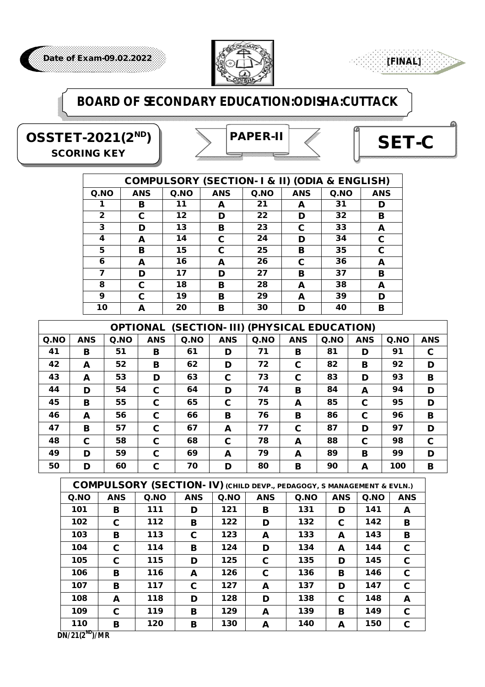

#### **BOARD OF SECONDARY EDUCATION:ODISHA:CUTTACK**

**OSSTET-2021(2ND)** *SCORING KEY*

# *PAPER-II*



**[FINAL]**

|              |            |      | <b>COMPULSORY (SECTION- I &amp; II) (ODIA &amp; ENGLISH)</b> |      |            |      |            |
|--------------|------------|------|--------------------------------------------------------------|------|------------|------|------------|
| Q.NO         | <b>ANS</b> | Q.NO | <b>ANS</b>                                                   | Q.NO | <b>ANS</b> | Q.NO | <b>ANS</b> |
|              | в          | 11   | A                                                            | 21   | A          | 31   | D          |
| $\mathbf{2}$ | C          | 12   | D                                                            | 22   | D          | 32   | в          |
| 3            | D          | 13   | в                                                            | 23   | C          | 33   | A          |
| 4            | A          | 14   | C                                                            | 24   | D          | 34   | C          |
| 5            | в          | 15   | C                                                            | 25   | в          | 35   | C          |
| 6            | A          | 16   | A                                                            | 26   | C          | 36   | A          |
| 7            | D          | 17   | D                                                            | 27   | в          | 37   | в          |
| 8            | C          | 18   | в                                                            | 28   | A          | 38   | A          |
| 9            | C          | 19   | в                                                            | 29   | A          | 39   | D          |
| 10           | A          | 20   | в                                                            | 30   | D          | 40   | в          |

|      | (SECTION- III) (PHYSICAL EDUCATION)<br><b>OPTIONAL</b> |             |             |          |            |          |            |      |            |     |            |  |
|------|--------------------------------------------------------|-------------|-------------|----------|------------|----------|------------|------|------------|-----|------------|--|
| Q.NO | <b>ANS</b>                                             | $Q$ .<br>NO | <b>ANS</b>  | $Q$ . NO | <b>ANS</b> | $Q$ . NO | <b>ANS</b> | Q.NO | <b>ANS</b> | QNO | <b>ANS</b> |  |
| 41   | в                                                      | 51          | в           | 61       | D          | 71       | в          | 81   | D          | 91  | C          |  |
| 42   | A                                                      | 52          | в           | 62       | D          | 72       | С          | 82   | в          | 92  | D          |  |
| 43   | A                                                      | 53          | D           | 63       | C          | 73       | C          | 83   | D          | 93  | B          |  |
| 44   | D                                                      | 54          | C           | 64       | D          | 74       | в          | 84   | A          | 94  | D          |  |
| 45   | в                                                      | 55          | C           | 65       | C          | 75       | A          | 85   | C          | 95  | D          |  |
| 46   | A                                                      | 56          | C           | 66       | в          | 76       | в          | 86   | C          | 96  | B          |  |
| 47   | в                                                      | 57          | $\mathbf c$ | 67       | A          | 77       | С          | 87   | D          | 97  | D          |  |
| 48   | C                                                      | 58          | C           | 68       | C          | 78       | A          | 88   | C          | 98  | C          |  |
| 49   | D                                                      | 59          | C           | 69       | A          | 79       | A          | 89   | в          | 99  | D          |  |
| 50   | D                                                      | 60          | C           | 70       | D          | 80       | в          | 90   | A          | 100 | в          |  |

|          | <b>COMPULSORY (SECTION-IV)</b> (CHILD DEVP., PEDAGOGY, S MANAGEMENT & EVLN.) |     |            |     |            |          |            |     |            |  |  |  |
|----------|------------------------------------------------------------------------------|-----|------------|-----|------------|----------|------------|-----|------------|--|--|--|
| $Q$ . NO | <b>ANS</b>                                                                   | QNO | <b>ANS</b> | QNO | <b>ANS</b> | $Q$ . NO | <b>ANS</b> | QNO | <b>ANS</b> |  |  |  |
| 101      | в                                                                            | 111 | D          | 121 | в          | 131      | D          | 141 | A          |  |  |  |
| 102      | C                                                                            | 112 | в          | 122 | D          | 132      | C          | 142 | в          |  |  |  |
| 103      | в                                                                            | 113 | C          | 123 | A          | 133      | A          | 143 | в          |  |  |  |
| 104      | C                                                                            | 114 | в          | 124 | D          | 134      | A          | 144 | C          |  |  |  |
| 105      | C                                                                            | 115 | D          | 125 | C          | 135      | D          | 145 | C          |  |  |  |
| 106      | в                                                                            | 116 | A          | 126 | C          | 136      | в          | 146 | C          |  |  |  |
| 107      | в                                                                            | 117 | C.         | 127 | A          | 137      | D          | 147 | C          |  |  |  |
| 108      | A                                                                            | 118 | D          | 128 | D          | 138      | C          | 148 | A          |  |  |  |
| 109      | C                                                                            | 119 | в          | 129 | A          | 139      | в          | 149 | C          |  |  |  |
| 110      | в                                                                            | 120 | в          | 130 | A          | 140      | A          | 150 | C          |  |  |  |